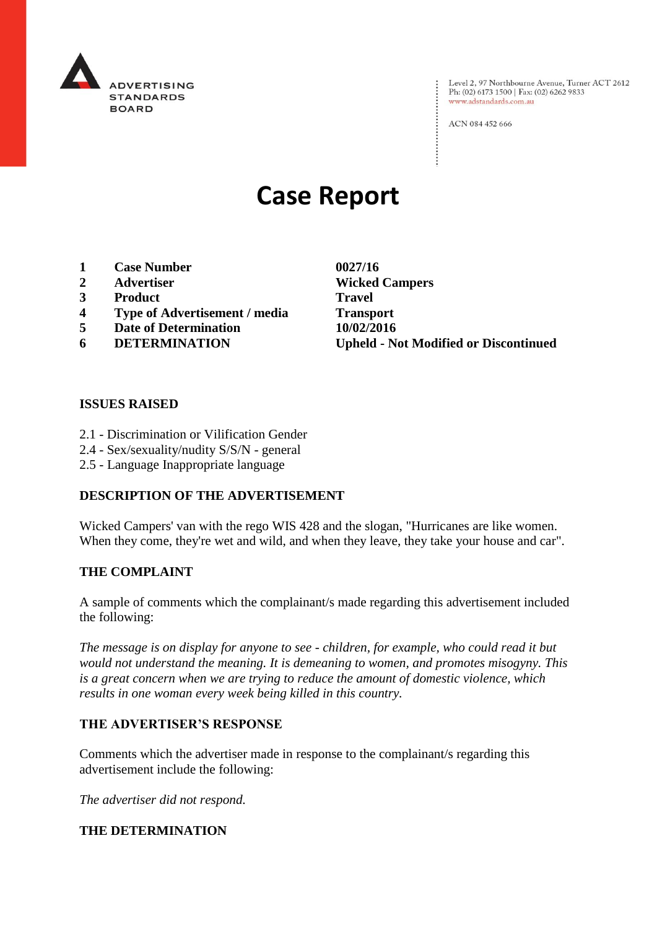

: Level 2, 97 Northbourne Avenue, Turner ACT 2612<br>: Ph: (02) 6173 1500 | Fax: (02) 6262 9833 Ph: (02) 6173 1500 | Fax: (02) 6262 9833 www.adstandards.com.au

ACN 084 452 666

# **Case Report**

- **1 Case Number 0027/16**
- 
- **3 Product Travel**
- **4 Type of Advertisement / media Transport**
- **5 Date of Determination 10/02/2016**
- 

**2 Advertiser Wicked Campers 6 DETERMINATION Upheld - Not Modified or Discontinued**

 $\vdots$ 

## **ISSUES RAISED**

- 2.1 Discrimination or Vilification Gender
- 2.4 Sex/sexuality/nudity S/S/N general
- 2.5 Language Inappropriate language

## **DESCRIPTION OF THE ADVERTISEMENT**

Wicked Campers' van with the rego WIS 428 and the slogan, "Hurricanes are like women. When they come, they're wet and wild, and when they leave, they take your house and car".

# **THE COMPLAINT**

A sample of comments which the complainant/s made regarding this advertisement included the following:

*The message is on display for anyone to see - children, for example, who could read it but would not understand the meaning. It is demeaning to women, and promotes misogyny. This is a great concern when we are trying to reduce the amount of domestic violence, which results in one woman every week being killed in this country.*

## **THE ADVERTISER'S RESPONSE**

Comments which the advertiser made in response to the complainant/s regarding this advertisement include the following:

*The advertiser did not respond.*

## **THE DETERMINATION**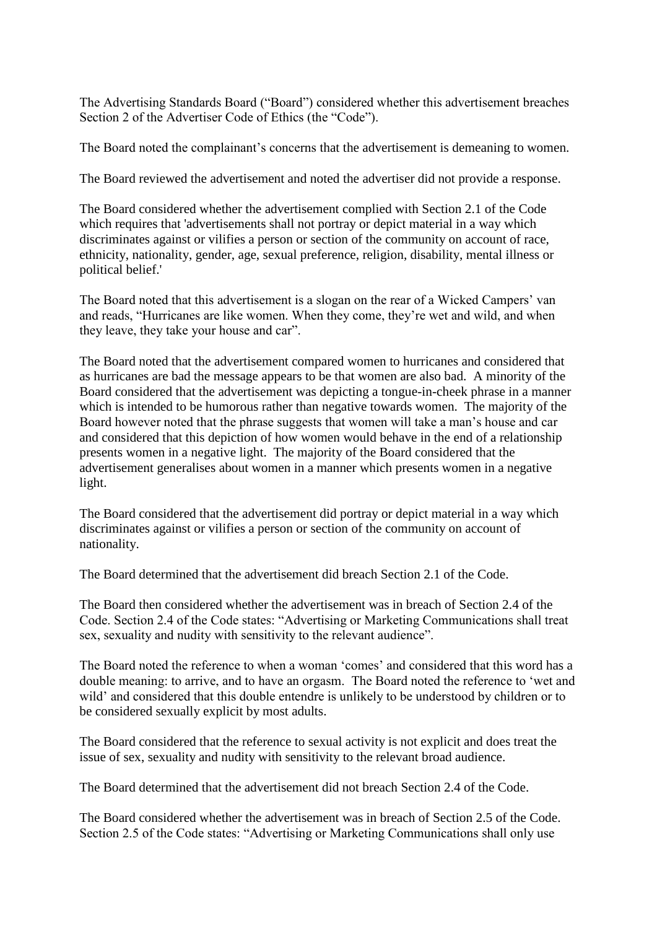The Advertising Standards Board ("Board") considered whether this advertisement breaches Section 2 of the Advertiser Code of Ethics (the "Code").

The Board noted the complainant's concerns that the advertisement is demeaning to women.

The Board reviewed the advertisement and noted the advertiser did not provide a response.

The Board considered whether the advertisement complied with Section 2.1 of the Code which requires that 'advertisements shall not portray or depict material in a way which discriminates against or vilifies a person or section of the community on account of race, ethnicity, nationality, gender, age, sexual preference, religion, disability, mental illness or political belief.'

The Board noted that this advertisement is a slogan on the rear of a Wicked Campers' van and reads, "Hurricanes are like women. When they come, they're wet and wild, and when they leave, they take your house and car".

The Board noted that the advertisement compared women to hurricanes and considered that as hurricanes are bad the message appears to be that women are also bad. A minority of the Board considered that the advertisement was depicting a tongue-in-cheek phrase in a manner which is intended to be humorous rather than negative towards women. The majority of the Board however noted that the phrase suggests that women will take a man's house and car and considered that this depiction of how women would behave in the end of a relationship presents women in a negative light. The majority of the Board considered that the advertisement generalises about women in a manner which presents women in a negative light.

The Board considered that the advertisement did portray or depict material in a way which discriminates against or vilifies a person or section of the community on account of nationality.

The Board determined that the advertisement did breach Section 2.1 of the Code.

The Board then considered whether the advertisement was in breach of Section 2.4 of the Code. Section 2.4 of the Code states: "Advertising or Marketing Communications shall treat sex, sexuality and nudity with sensitivity to the relevant audience".

The Board noted the reference to when a woman 'comes' and considered that this word has a double meaning: to arrive, and to have an orgasm. The Board noted the reference to 'wet and wild' and considered that this double entendre is unlikely to be understood by children or to be considered sexually explicit by most adults.

The Board considered that the reference to sexual activity is not explicit and does treat the issue of sex, sexuality and nudity with sensitivity to the relevant broad audience.

The Board determined that the advertisement did not breach Section 2.4 of the Code.

The Board considered whether the advertisement was in breach of Section 2.5 of the Code. Section 2.5 of the Code states: "Advertising or Marketing Communications shall only use